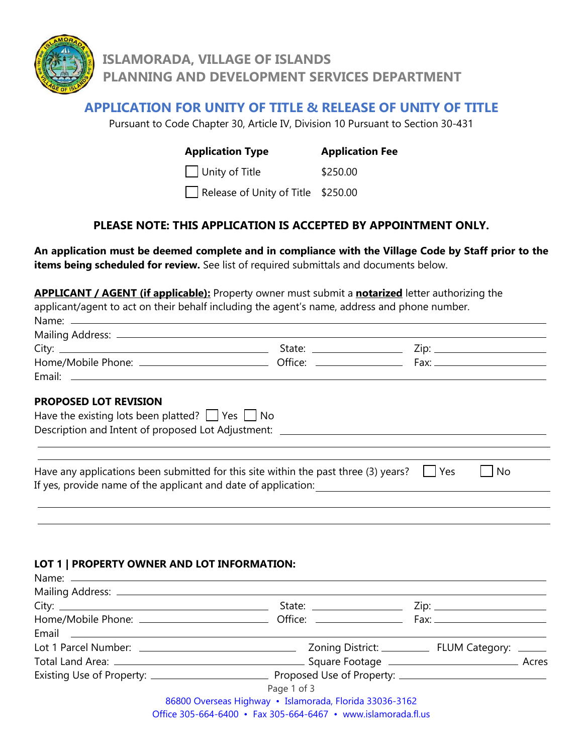

# **APPLICATION FOR UNITY OF TITLE & RELEASE OF UNITY OF TITLE**

Pursuant to Code Chapter 30, Article IV, Division 10 Pursuant to Section 30-431

#### **Application Type Application Fee**

Unity of Title \$250.00

Release of Unity of Title \$250.00

# **PLEASE NOTE: THIS APPLICATION IS ACCEPTED BY APPOINTMENT ONLY.**

**An application must be deemed complete and in compliance with the Village Code by Staff prior to the items being scheduled for review.** See list of required submittals and documents below.

**APPLICANT / AGENT (if applicable):** Property owner must submit a **notarized** letter authorizing the applicant/agent to act on their behalf including the agent's name, address and phone number. Name: \_\_

| Mailing Address: -    |         |      |  |
|-----------------------|---------|------|--|
| City:                 | State:  |      |  |
| Home/Mobile Phone: __ | Office: | Fax: |  |
| Email:                |         |      |  |

#### **PROPOSED LOT REVISION**

Namo:

| Have the existing lots been platted? $\Box$ Yes $\Box$ No<br>Description and Intent of proposed Lot Adjustment: _                                              |      |  |
|----------------------------------------------------------------------------------------------------------------------------------------------------------------|------|--|
|                                                                                                                                                                |      |  |
| Have any applications been submitted for this site within the past three (3) years?<br>l Yes<br>If yes, provide name of the applicant and date of application: | l No |  |

#### **LOT 1 | PROPERTY OWNER AND LOT INFORMATION:**

| Email <b>Experimental Construction of the Construction Construction Construction</b> |  |
|--------------------------------------------------------------------------------------|--|
|                                                                                      |  |
|                                                                                      |  |
|                                                                                      |  |
| Page 1 of 3                                                                          |  |
| 86800 Overseas Highway · Islamorada, Florida 33036-3162                              |  |
| Office $305-664-6400$ • Fax $305-664-6467$ • www.jslamorada.fl.us                    |  |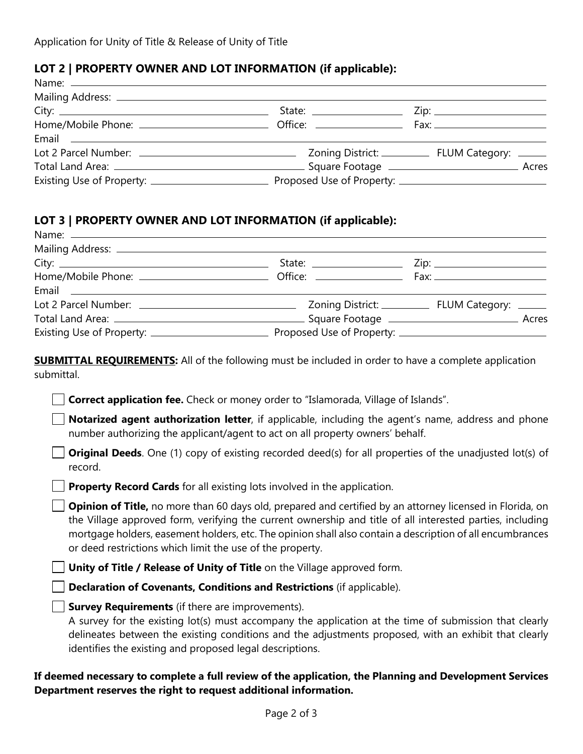### **LOT 2 | PROPERTY OWNER AND LOT INFORMATION (if applicable):**

| Email 2008 - 2008 - 2010 - 2010 - 2010 - 2010 - 2011 - 2012 - 2014 - 2016 - 2017 - 2018 - 2019 - 2010 - 2011 - |                                                                                                                                                                                                                                |  |
|----------------------------------------------------------------------------------------------------------------|--------------------------------------------------------------------------------------------------------------------------------------------------------------------------------------------------------------------------------|--|
|                                                                                                                |                                                                                                                                                                                                                                |  |
|                                                                                                                | Total Land Area: 2008 Contract Contract Contract Contract Contract Contract Contract Contract Contract Contract Contract Contract Contract Contract Contract Contract Contract Contract Contract Contract Contract Contract Co |  |
|                                                                                                                | Proposed Use of Property: _______________________________                                                                                                                                                                      |  |

### **LOT 3 | PROPERTY OWNER AND LOT INFORMATION (if applicable):**

| <b>SUBMITTAL REQUIREMENTS:</b> All of the following must be included in order to have a complete application<br>submittal.<br><b>Correct application fee.</b> Check or money order to "Islamorada, Village of Islands".<br>Notarized agent authorization letter, if applicable, including the agent's name, address and phone<br>number authorizing the applicant/agent to act on all property owners' behalf. |  |  |
|----------------------------------------------------------------------------------------------------------------------------------------------------------------------------------------------------------------------------------------------------------------------------------------------------------------------------------------------------------------------------------------------------------------|--|--|
| <b>Original Deeds.</b> One (1) copy of existing recorded deed(s) for all properties of the unadjusted lot(s) of<br>record.                                                                                                                                                                                                                                                                                     |  |  |
| <b>Property Record Cards</b> for all existing lots involved in the application.                                                                                                                                                                                                                                                                                                                                |  |  |
| Opinion of Title, no more than 60 days old, prepared and certified by an attorney licensed in Florida, on<br>the Village approved form, verifying the current ownership and title of all interested parties, including<br>mortgage holders, easement holders, etc. The opinion shall also contain a description of all encumbrances<br>or deed restrictions which limit the use of the property.               |  |  |
| Unity of Title / Release of Unity of Title on the Village approved form.                                                                                                                                                                                                                                                                                                                                       |  |  |
| Declaration of Covenants, Conditions and Restrictions (if applicable).                                                                                                                                                                                                                                                                                                                                         |  |  |
| <b>Survey Requirements</b> (if there are improvements).<br>A survey for the existing lot(s) must accompany the application at the time of submission that clearly<br>delineates between the existing conditions and the adjustments proposed, with an exhibit that clearly<br>identifies the existing and proposed legal descriptions.                                                                         |  |  |

# **If deemed necessary to complete a full review of the application, the Planning and Development Services Department reserves the right to request additional information.**